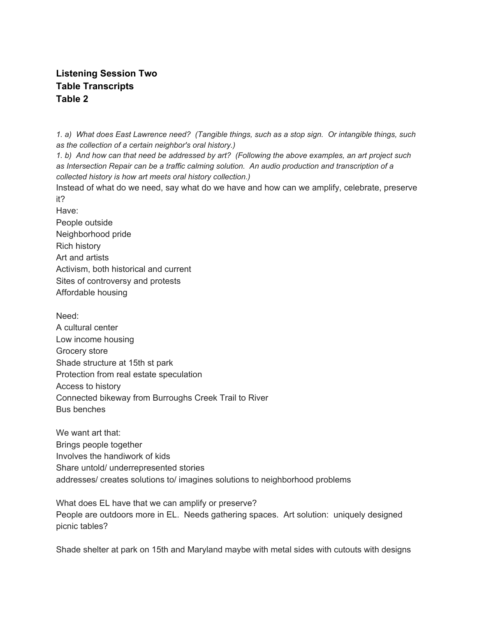## **Listening Session Two Table Transcripts Table 2**

1. a) What does East Lawrence need? (Tangible things, such as a stop sign. Or intangible things, such *as the collection of a certain neighbor's oral history.)*

1. b) And how can that need be addressed by art? (Following the above examples, an art project such *as Intersection Repair can be a traffic calming solution. An audio production and transcription of a collected history is how art meets oral history collection.)*

Instead of what do we need, say what do we have and how can we amplify, celebrate, preserve it?

Have:

People outside Neighborhood pride Rich history Art and artists Activism, both historical and current Sites of controversy and protests Affordable housing

Need: A cultural center Low income housing Grocery store Shade structure at 15th st park Protection from real estate speculation Access to history Connected bikeway from Burroughs Creek Trail to River Bus benches

We want art that: Brings people together Involves the handiwork of kids Share untold/ underrepresented stories addresses/ creates solutions to/ imagines solutions to neighborhood problems

What does EL have that we can amplify or preserve? People are outdoors more in EL. Needs gathering spaces. Art solution: uniquely designed picnic tables?

Shade shelter at park on 15th and Maryland maybe with metal sides with cutouts with designs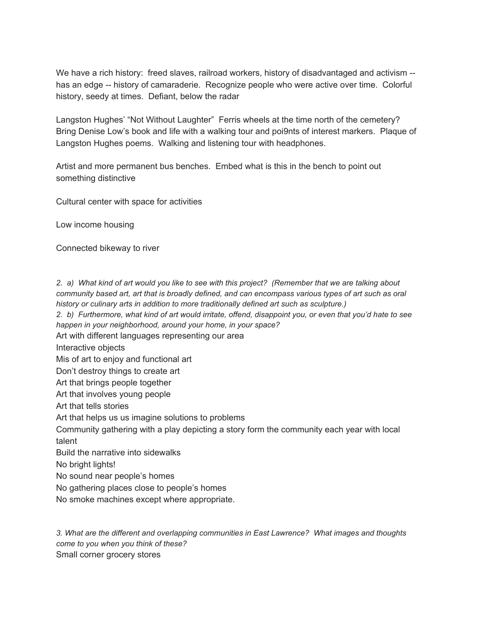We have a rich history: freed slaves, railroad workers, history of disadvantaged and activism -has an edge -- history of camaraderie. Recognize people who were active over time. Colorful history, seedy at times. Defiant, below the radar

Langston Hughes' "Not Without Laughter" Ferris wheels at the time north of the cemetery? Bring Denise Low's book and life with a walking tour and poi9nts of interest markers. Plaque of Langston Hughes poems. Walking and listening tour with headphones.

Artist and more permanent bus benches. Embed what is this in the bench to point out something distinctive

Cultural center with space for activities

Low income housing

Connected bikeway to river

2. a) What kind of art would you like to see with this project? (Remember that we are talking about community based art, art that is broadly defined, and can encompass various types of art such as oral *history or culinary arts in addition to more traditionally defined art such as sculpture.)*

2. b) Furthermore, what kind of art would irritate, offend, disappoint you, or even that you'd hate to see *happen in your neighborhood, around your home, in your space?*

Art with different languages representing our area

Interactive objects

Mis of art to enjoy and functional art

Don't destroy things to create art

Art that brings people together

Art that involves young people

Art that tells stories

Art that helps us us imagine solutions to problems

Community gathering with a play depicting a story form the community each year with local talent

Build the narrative into sidewalks

No bright lights!

No sound near people's homes

No gathering places close to people's homes

No smoke machines except where appropriate.

*3. What are the different and overlapping communities in East Lawrence? What images and thoughts come to you when you think of these?* Small corner grocery stores